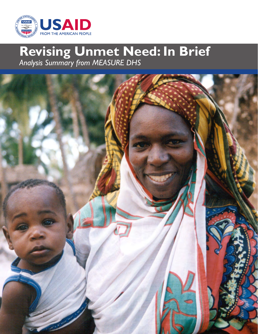

# **Revising Unmet Need: In Brief** *Analysis Summary from MEASURE DHS*

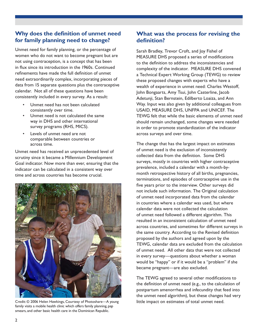### **Why does the definition of unmet need for family planning need to change?**

Unmet need for family planning, or the percentage of women who do not want to become pregnant but are not using contraception, is a concept that has been in flux since its introduction in the 1960s. Continued refinements have made the full definition of unmet need extraordinarily complex, incorporating pieces of data from 15 separate questions plus the contraceptive calendar. Not all of these questions have been consistently included in every survey. As a result:

- Unmet need has not been calculated consistently over time.
- Unmet need is not calculated the same way in DHS and other international survey programs (RHS, MICS).
- Levels of unmet need are not comparable between countries or across time.

Unmet need has received an unprecedented level of scrutiny since it became a Millennium Development Goal indicator. Now more than ever, ensuring that the indicator can be calculated in a consistent way over time and across countries has become crucial.



Credit: © 2006 Helen Hawkings, Courtesy of Photoshare—A young little impact on estimates of total unmet need. family visits a mobile health clinic which offers family planning, pap smears, and other basic health care in the Dominican Republic.

## **What was the process for revising the definition?**

Sarah Bradley, Trevor Croft, and Joy Fishel of MEASURE DHS proposed a series of modifications to the definition to address the inconsistencies and complexity of the indicator. MEASURE DHS convened a Technical Expert Working Group (TEWG) to review these proposed changes with experts who have a wealth of experience in unmet need: Charles Westoff, John Bongaarts, Amy Tsui, John Casterline, Jacob Adetunji, Stan Bernstein, Edilberto Loaiza, and Ann Way. Input was also given by additional colleagues from USAID, MEASURE DHS, UNFPA and UNICEF. The TEWG felt that while the basic elements of unmet need should remain unchanged, some changes were needed in order to promote standardization of the indicator across surveys and over time.

The change that has the largest impact on estimates of unmet need is the exclusion of inconsistently collected data from the definition. Some DHS surveys, mostly in countries with higher contraceptive prevalence, included a calendar with a month-bymonth retrospective history of all births, pregnancies, terminations, and episodes of contraceptive use in the five years prior to the interview. Other surveys did not include such information. The Original calculation of unmet need incorporated data from the calendar in countries where a calendar was used, but where calendar data were not collected the calculation of unmet need followed a different algorithm. This resulted in an inconsistent calculation of unmet need across countries, and sometimes for different surveys in the same country. According to the Revised definition proposed by the authors and agreed upon by the TEWG, calendar data are excluded from the calculation of unmet need. All other data that were not collected in every survey—questions about whether a woman would be "happy" or if it would be a "problem" if she became pregnant—are also excluded.

The TEWG agreed to several other modifications to the definition of unmet need (e.g., to the calculation of postpartum amenorrhea and infecundity that feed into the unmet need algorithm), but these changes had very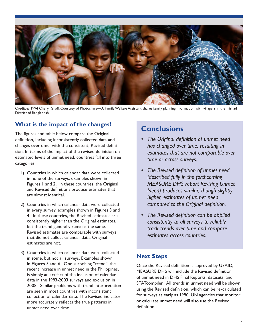

Credit: © 1994 Cheryl Groff, Courtesy of Photoshare—A Family Welfare Assistant shares family planning information with villagers in the Trishad District of Bangladesh.

## **What is the impact of the changes?**

The figures and table below compare the Original definition, including inconsistently collected data and changes over time, with the consistent, Revised definition. In terms of the impact of the revised definition on estimated levels of unmet need, countries fall into three categories:

- 1) Countries in which calendar data were collected in none of the surveys, examples shown in Figures 1 and 2. In these countries, the Original and Revised definitions produce estimates that are almost identical.
- 2) Countries in which calendar data were collected in every survey, examples shown in Figures 3 and 4. In these countries, the Revised estimates are consistently higher than the Original estimates, but the trend generally remains the same. Revised estimates are comparable with surveys that did not collect calendar data; Original estimates are not.
- 3) Countries in which calendar data were collected in some, but not all surveys. Examples shown in Figures 5 and 6. One surprising "trend," the recent increase in unmet need in the Philippines, is simply an artifact of the inclusion of calendar data in the 1993-2003 surveys and exclusion in 2008. Similar problems with trend interpretation are seen in most countries with inconsistent collection of calendar data. The Revised indicator more accurately reflects the true patterns in unmet need over time.

## **Conclusions**

- *• The Original definition of unmet need has changed over time, resulting in estimates that are not comparable over time or across surveys.*
- *• The Revised definition of unmet need (described fully in the forthcoming MEASURE DHS report Revising Unmet Need) produces similar, though slightly higher, estimates of unmet need compared to the Original definition.*
- *• The Revised definition can be applied consistently to all surveys to reliably track trends over time and compare estimates across countries.*

## **Next Steps**

Once the Revised definition is approved by USAID, MEASURE DHS will include the Revised definition of unmet need in DHS Final Reports, datasets, and STATcompiler. All trends in unmet need will be shown using the Revised definition, which can be re-calculated for surveys as early as 1990. UN agencies that monitor or calculate unmet need will also use the Revised definition.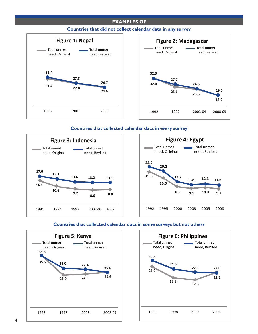#### **EXAMPLES OF**



#### **Countries that did not collect calendar data in any survey**



#### **Countries that collected calendar data in every survey**





#### **Countries that collected calendar data in some surveys but not others**



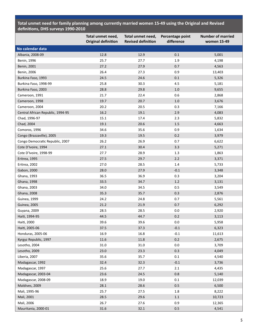**Total unmet need for family planning among currently married women 15-49 using the Original and Revised definitions, DHS surveys 1990-2010**

|                                   | Total unmet need,<br><b>Original definition</b> | Total unmet need,<br><b>Revised definition</b> | Percentage point<br>difference | <b>Number of married</b><br>women 15-49 |
|-----------------------------------|-------------------------------------------------|------------------------------------------------|--------------------------------|-----------------------------------------|
| No calendar data                  |                                                 |                                                |                                |                                         |
| Albania, 2008-09                  | 12.8                                            | 12.9                                           | 0.1                            | 5,001                                   |
| Benin, 1996                       | 25.7                                            | 27.7                                           | 1.9                            | 4,198                                   |
| Benin, 2001                       | 27.2                                            | 27.9                                           | 0.7                            | 4,563                                   |
| Benin, 2006                       | 26.4                                            | 27.3                                           | 0.9                            | 13,403                                  |
| Burkina Faso, 1993                | 24.5                                            | 24.6                                           | $0.1\,$                        | 5,326                                   |
| Burkina Faso, 1998-99             | 25.8                                            | 30.3                                           | 4.5                            | 5,181                                   |
| Burkina Faso, 2003                | 28.8                                            | 29.8                                           | $1.0\,$                        | 9,655                                   |
| Cameroon, 1991                    | 21.7                                            | 22.4                                           | 0.6                            | 2,868                                   |
| Cameroon, 1998                    | 19.7                                            | 20.7                                           | $1.0\,$                        | 3,676                                   |
| Cameroon, 2004                    | 20.2                                            | 20.5                                           | 0.3                            | 7,166                                   |
| Central African Republic, 1994-95 | 16.2                                            | 19.1                                           | 2.9                            | 4,083                                   |
| Chad, 1996-97                     | 15.1                                            | 17.4                                           | 2.3                            | 5,832                                   |
| Chad, 2004                        | 19.1                                            | 20.6                                           | 1.5                            | 4,663                                   |
| Comoros, 1996                     | 34.6                                            | 35.6                                           | 0.9                            | 1,634                                   |
| Congo (Brazzaville), 2005         | 19.3                                            | 19.5                                           | $0.2\,$                        | 3,979                                   |
| Congo Democratic Republic, 2007   | 26.2                                            | 26.9                                           | 0.7                            | 6,622                                   |
| Cote D'Ivoire, 1994               | 27.1                                            | 30.4                                           | 3.3                            | 5,271                                   |
| Cote D'Ivoire, 1998-99            | 27.7                                            | 28.9                                           | 1.3                            | 1,863                                   |
| Eritrea, 1995                     | 27.5                                            | 29.7                                           | 2.2                            | 3,371                                   |
| Eritrea, 2002                     | 27.0                                            | 28.5                                           | 1.4                            | 5,733                                   |
| Gabon, 2000                       | 28.0                                            | 27.9                                           | $-0.1$                         | 3,348                                   |
| Ghana, 1993                       | 36.5                                            | 36.9                                           | 0.3                            | 3,204                                   |
| Ghana, 1998                       | 33.5                                            | 34.7                                           | $1.2\,$                        | 3,131                                   |
| Ghana, 2003                       | 34.0                                            | 34.5                                           | 0.5                            | 3,549                                   |
| Ghana, 2008                       | 35.3                                            | 35.7                                           | 0.3                            | 2,876                                   |
| Guinea, 1999                      | 24.2                                            | 24.8                                           | 0.7                            | 5,561                                   |
| <b>Guinea, 2005</b>               | 21.2                                            | 21.9                                           | 0.7                            | 6,292                                   |
| Guyana, 2009                      | 28.5                                            | 28.5                                           | 0.0                            | 2,920                                   |
| Haiti, 1994-95                    | 44.5                                            | 44.7                                           | 0.2                            | 3,113                                   |
| Haiti, 2000                       | 39.6                                            | 39.6                                           | 0.0                            | 5,958                                   |
| Haiti, 2005-06                    | 37.5                                            | 37.3                                           | $-0.1$                         | 6,323                                   |
| Honduras, 2005-06                 | 16.9                                            | 16.8                                           | $-0.1$                         | 11,613                                  |
| Kyrgyz Republic, 1997             | 11.6                                            | 11.8                                           | 0.2                            | 2,675                                   |
| Lesotho, 2004                     | 31.0                                            | 31.0                                           | $0.0\,$                        | 3,709                                   |
| Lesotho, 2009                     | 23.0                                            | 23.3                                           | 0.3                            | 4,049                                   |
| Liberia, 2007                     | 35.6                                            | 35.7                                           | 0.1                            | 4,540                                   |
| Madagascar, 1992                  | 32.4                                            | 32.3                                           | $-0.1$                         | 3,736                                   |
| Madagascar, 1997                  | 25.6                                            | 27.7                                           | 2.1                            | 4,435                                   |
| Madagascar, 2003-04               | 23.6                                            | 24.5                                           | 0.8                            | 5,140                                   |
| Madagascar, 2008-09               | 18.9                                            | 19.0                                           | 0.1                            | 12,039                                  |
| Maldives, 2009                    | 28.1                                            | 28.6                                           | $0.5\,$                        | 6,500                                   |
| Mali, 1995-96                     | 25.7                                            | 27.5                                           | $1.8\,$                        | 8,222                                   |
| Mali, 2001                        | 28.5                                            | 29.6                                           | $1.1\,$                        | 10,723                                  |
| Mali, 2006                        | 26.7                                            | 27.6                                           | 0.9                            | 12,365                                  |
| Mauritania, 2000-01               | 31.6                                            | 32.1                                           | $0.5\,$                        | 4,541                                   |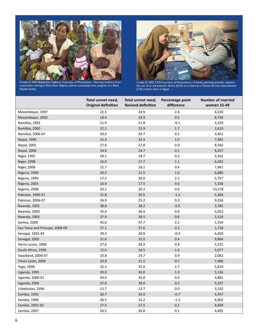

Credit: © 2005 Babafunke Fagbemi, Courtesy of Photoshare—Nursing mothers from a periurban setting in Ekiti State, Nigeria, attend a postnatal care program at a Basic Health facility.



Credit: © 2003 CCP, Courtesy of Photoshare—A family planning provider explains the use of an intrauterine device (IUD) to a client at a Clinical Service Improvement (CSI) project clinic in Egypt.

|                                | Total unmet need,<br><b>Original definition</b> | Total unmet need,<br><b>Revised definition</b> | Percentage point<br>difference | <b>Number of married</b><br>women 15-49 |
|--------------------------------|-------------------------------------------------|------------------------------------------------|--------------------------------|-----------------------------------------|
| Mozambique, 1997               | 22.5                                            | 24.9                                           | 2.4                            | 6,530                                   |
| Mozambique, 2003               | 18.4                                            | 18.9                                           | 0.5                            | 8,736                                   |
| Namibia, 1992                  | 21.9                                            | 21.8                                           | $-0.1$                         | 2,259                                   |
| Namibia, 2000                  | 22.1                                            | 23.9                                           | $1.7\,$                        | 2,610                                   |
| Namibia, 2006-07               | 20.6                                            | 20.7                                           | 0.2                            | 3,451                                   |
| <b>Nepal, 1996</b>             | 31.4                                            | 32.4                                           | $1.0\,$                        | 7,982                                   |
| Nepal, 2001                    | 27.8                                            | 27.8                                           | 0.0                            | 8,342                                   |
| <b>Nepal, 2006</b>             | 24.6                                            | 24.7                                           | $0.1\,$                        | 8,257                                   |
| Niger, 1992                    | 18.1                                            | 18.7                                           | 0.5                            | 5,561                                   |
| Niger, 1998                    | 16.6                                            | 17.7                                           | $1.1\,$                        | 6,382                                   |
| Niger, 2006                    | 15.7                                            | 16.1                                           | 0.4                            | 7,941                                   |
| Nigeria, 1990                  | 20.5                                            | 21.5                                           | 1.0                            | 6,880                                   |
| Nigeria, 1999                  | 17.5                                            | 20.0                                           | 2.5                            | 5,757                                   |
| Nigeria, 2003                  | 16.9                                            | 17.5                                           | 0.6                            | 5,336                                   |
| Nigeria, 2008                  | 20.2                                            | 20.2                                           | $0.0\,$                        | 23,578                                  |
| Pakistan, 1990-91              | 31.8                                            | 30.5                                           | $-1.3$                         | 6,364                                   |
| Pakistan, 2006-07              | 24.9                                            | 25.2                                           | 0.3                            | 9,556                                   |
| Rwanda, 1992                   | 38.8                                            | 38.2                                           | $-0.5$                         | 3,785                                   |
| Rwanda, 2000                   | 35.6                                            | 36.4                                           | $0.8\,$                        | 5,052                                   |
| <b>Rwanda, 2005</b>            | 37.9                                            | 38.5                                           | 0.6                            | 5,510                                   |
| Samoa, 2009                    | 45.6                                            | 47.7                                           | 2.2                            | 1,554                                   |
| Sao Tome and Principe, 2008-09 | 37.1                                            | 37.6                                           | 0.5                            | 1,718                                   |
| Senegal, 1992-93               | 29.3                                            | 28.8                                           | $-0.4$                         | 4,450                                   |
| Senegal, 2005                  | 31.6                                            | 32.0                                           | 0.4                            | 9,866                                   |
| Sierra Leone, 2008             | 27.6                                            | 28.4                                           | $0.8\,$                        | 5,525                                   |
| South Africa, 1998             | 15.0                                            | 16.5                                           | 1.6                            | 5,077                                   |
| Swaziland, 2006-07             | 23.8                                            | 24.7                                           | $0.9\,$                        | 2,062                                   |
| Timor-Leste, 2009              | 30.8                                            | 31.5                                           | 0.7                            | 7,906                                   |
| Togo, 1998                     | 32.3                                            | 35.0                                           | 2.7                            | 5,819                                   |
| Uganda, 1995                   | 29.0                                            | 30.0                                           | $1.0\,$                        | 5,136                                   |
| Uganda, 2000-01                | 34.6                                            | 35.0                                           | 0.4                            | 4,881                                   |
| Uganda, 2006                   | 37.8                                            | 38.0                                           | 0.2                            | 5,337                                   |
| Uzbekistan, 1996               | 13.7                                            | 13.7                                           | $0.0\,$                        | 3,102                                   |
| Zambia, 1992                   | 30.7                                            | 30.0                                           | $-0.7$                         | 4,457                                   |
| Zambia, 1996                   | 26.5                                            | 25.2                                           | $-1.3$                         | 4,902                                   |
| Zambia, 2001-02                | 27.4                                            | 27.5                                           | $0.1\,$                        | 4,694                                   |
| Zambia, 2007                   | 26.5                                            | 26.6                                           | 0.1                            | 4,402                                   |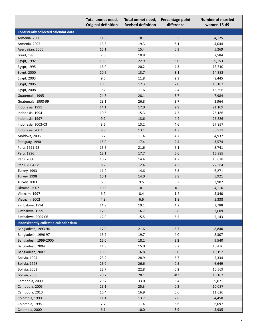| <b>Original definition</b><br><b>Revised definition</b><br>difference<br>women 15-49 |  |
|--------------------------------------------------------------------------------------|--|
| <b>Consistently collected calendar data</b>                                          |  |
| 11.8<br>18.1<br>6.3<br>Armenia, 2000<br>4,125                                        |  |
| 19.3<br>Armenia, 2005<br>13.3<br>6.1<br>4,044                                        |  |
| 15.1<br>15.4<br>0.3<br>5,269<br>Azerbaijan, 2006                                     |  |
| 7.3<br>10.8<br>3.5<br>Brazil, 1996<br>7,584                                          |  |
| 19.8<br>22.9<br>3.0<br>Egypt, 1992<br>9,153                                          |  |
| 16.0<br>20.2<br>4.3<br>Egypt, 1995<br>13,710                                         |  |
| $10.6\,$<br>13.7<br>$3.1\,$<br>Egypt, 2000<br>14,382                                 |  |
| 11.8<br>2.3<br>9.5<br>8,445<br>Egypt, 2003                                           |  |
| 12.3<br>$10.3$<br>$2.0$<br>18,187<br>Egypt, 2005                                     |  |
| 9.2<br>11.6<br>2.4<br>15,396<br>Egypt, 2008                                          |  |
| 28.1<br>3.7<br>24.3<br>7,984<br>Guatemala, 1995                                      |  |
| 23.1<br>26.8<br>3.7<br>3,964<br>Guatemala, 1998-99                                   |  |
| 17.0<br>14.1<br>2.9<br>21,109<br>Indonesia, 1991                                     |  |
| 10.6<br>15.3<br>4.7<br>Indonesia, 1994<br>26,186                                     |  |
| 9.2<br>13.6<br>4.4<br>26,886<br>Indonesia, 1997                                      |  |
| 8.6<br>13.2<br>4.6<br>Indonesia, 2002-03<br>27,857                                   |  |
| Indonesia, 2007<br>8.8<br>13.1<br>4.3<br>30,931                                      |  |
| 6.7<br>11.4<br>Moldova, 2005<br>4.7<br>4,937                                         |  |
| $2.4\,$<br>15.0<br>17.4<br>3,574<br>Paraguay, 1990                                   |  |
| Peru, 1991-92<br>15.5<br>21.6<br>6.1<br>8,741                                        |  |
| Peru, 1996<br>12.1<br>17.7<br>$5.6\,$<br>16,885                                      |  |
| $10.2\,$<br>14.4<br>4.2<br>15,628<br>Peru, 2000                                      |  |
| 8.2<br>Peru, 2004-08<br>12.4<br>4.2<br>22,564                                        |  |
| 11.2<br>14.6<br>3.3<br><b>Turkey, 1993</b><br>6,271                                  |  |
| $3.8\,$<br>Turkey, 1998<br>$10.1\,$<br>14.0<br>5,921                                 |  |
| 6.3<br>9.5<br>3.2<br>3,902<br><b>Turkey, 2003</b>                                    |  |
| $10.1\,$<br>Ukraine, 2007<br>10.3<br>$-0.1$<br>4,116                                 |  |
| 6.9<br>8.4<br>5,340<br>Vietnam, 1997<br>1.4                                          |  |
| 6.6<br>1.8<br>4.8<br>5,338<br>Vietnam, 2002                                          |  |
| Zimbabwe, 1994<br>19.1<br>3,788<br>14.9<br>4.2                                       |  |
| Zimbabwe, 1999<br>16.7<br>$3.8\,$<br>3,609<br>12.9                                   |  |
| Zimbabwe, 2005-06<br>12.0<br>15.5<br>3.5<br>5,143                                    |  |
| Inconsistently collected calendar data                                               |  |
| Bangladesh, 1993-94<br>17.9<br>21.6<br>3.7<br>8,840                                  |  |
| 19.7<br>Bangladesh, 1996-97<br>15.7<br>4.0<br>8,307                                  |  |
| 18.2<br>3.2<br>Bangladesh, 1999-2000<br>15.0<br>9,540                                |  |
| Bangladesh, 2004<br>11.8<br>15.0<br>3.2<br>10,436                                    |  |
| 16.8<br>16.8<br>$0.0\,$<br>Bangladesh, 2007<br>10,192                                |  |
| 5.7<br>23.2<br>28.9<br>Bolivia, 1994<br>5,334                                        |  |
| 26.0<br>26.6<br>Bolivia, 1998<br>0.5<br>6,649                                        |  |
| 22.8<br>Bolivia, 2003<br>22.7<br>0.2<br>10,569                                       |  |
| 20.1<br>$-0.1$<br>Bolivia, 2008<br>20.2<br>10,162                                    |  |
| 29.7<br>33.0<br>3.4<br>Cambodia, 2000<br>9,071                                       |  |
| Cambodia, 2005<br>25.3<br>0.2<br>25.1<br>10,087                                      |  |
| Cambodia, 2010<br>16.4<br>16.9<br>0.6<br>11,626                                      |  |
| $2.6\,$<br>Colombia, 1990<br>$11.1\,$<br>13.7<br>4,450                               |  |
| Colombia, 1995<br>7.7<br>11.4<br>3.6<br>6,097                                        |  |
| Colombia, 2000<br>$6.1\,$<br>$10.0\,$<br>3.9<br>5,935                                |  |